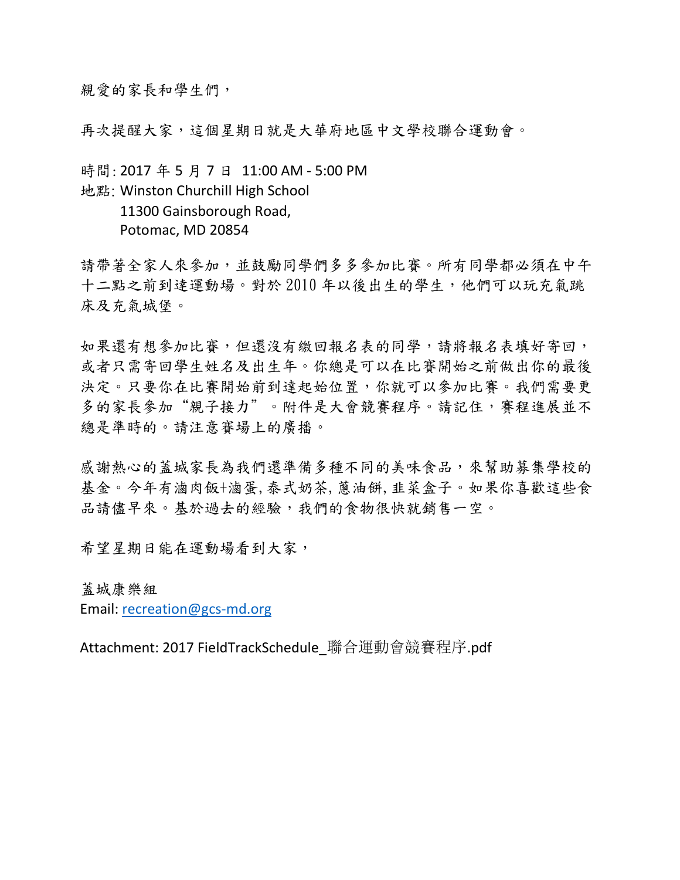親愛的家長和學生們,

再次提醒大家,這個星期日就是大華府地區中文學校聯合運動會。

時間: 2017 年 5 月 7 日 11:00 AM - 5:00 PM 地點: Winston Churchill High School 11300 Gainsborough Road, Potomac, MD 20854

請帶著全家人來參加,並鼓勵同學們多多參加比賽。所有同學都必須在中午 十二點之前到逹運動場。對於 2010 年以後出生的學生,他們可以玩充氣跳 床及充氣城堡。

如果還有想參加比賽,但還沒有繳回報名表的同學,請將報名表填好寄回, 或者只需寄回學生姓名及出生年。你總是可以在比賽開始之前做出你的最後 決定。只要你在比賽開始前到達起始位置,你就可以參加比賽。我們需要更 多的家長參加"親子接力"。附件是大會競賽程序。請記住,賽程進展並不 總是準時的。請注意賽場上的廣播。

感謝熱心的蓋城家長為我們還準備多種不同的美味食品,來幫助募集學校的 基金。今年有滷肉飯+滷蛋,泰式奶茶,蔥油餅,韭菜盒子。如果你喜歡這些食 品請儘早來。基於過去的經驗,我們的食物很快就銷售一空。

希望星期日能在運動場看到大家,

蓋城康樂組

Email: recreation@gcs-md.org

Attachment: 2017 FieldTrackSchedule\_聯合運動會競賽程序.pdf